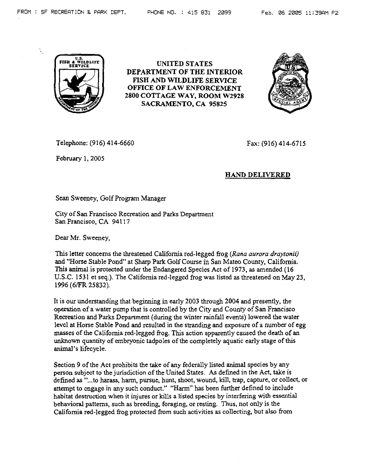蒙



UNITED STATES DEPARTMENT OF THE INTERIOR FISH AND WILDLIFE SERVICE OFFICE OF LAW ENFORCEMENT 2800 COTTAGE WAY, ROOM W2928 SACRAMENTO, CA 95825



Telephone: (916) 414-6660

February 1, 2005

Fax: (916) 414-6715

## HAND DELIVERED

Sean Sweeney, Golf Program Manager

City of San Francisco Recreation and Parks Department San Francisco, CA 94117

Dear Mr. Sweeney,

This letter concerns the threatened California red-legged frog *(Rana aurora draytonii)*  and "Horse Stable Pond" at Sharp Park Golf Course in San Mateo County, California. This anirnal is protected under the Endangered Species Act of 1973, as amended (16 U.S.C. 1531 et seq.). The California red-legged frog was listed as threatened on May 23, 1996 (6/FR 25832).

It is our understanding that beginning in early 2003 through 2004 and presently, the operation of a water pump that is controlled by the City and County of San Francisco Recreation and Parks Department (during the winter rainfall events) lowered the water level at Horse Stable Pond and resulted in the stranding and exposure of a number of egg masses of the California red-legged frog. This action apparently caused the death of an unknown quantity of embryonic tadpoles of the completely aquatic early stage of this animal's lifecycle.

Section 9 of the Act prohibits the take of any federally listed animal species by any person subject to the jurisdiction of the United States. As defined in the Act, take is defined as "...to harass, harm, pursue, hunt, shoot, wound, kill, trap, capture, or collect, or attempt to engage in any such conduct." "Harm" has been further defined to include habitat destruction when it injures or kills a listed species by interfering with essential behavioral patterns, such as breeding, foraging, or resting. Thus, not only is the California red-legged frog protected from such activities as collecting, but also from